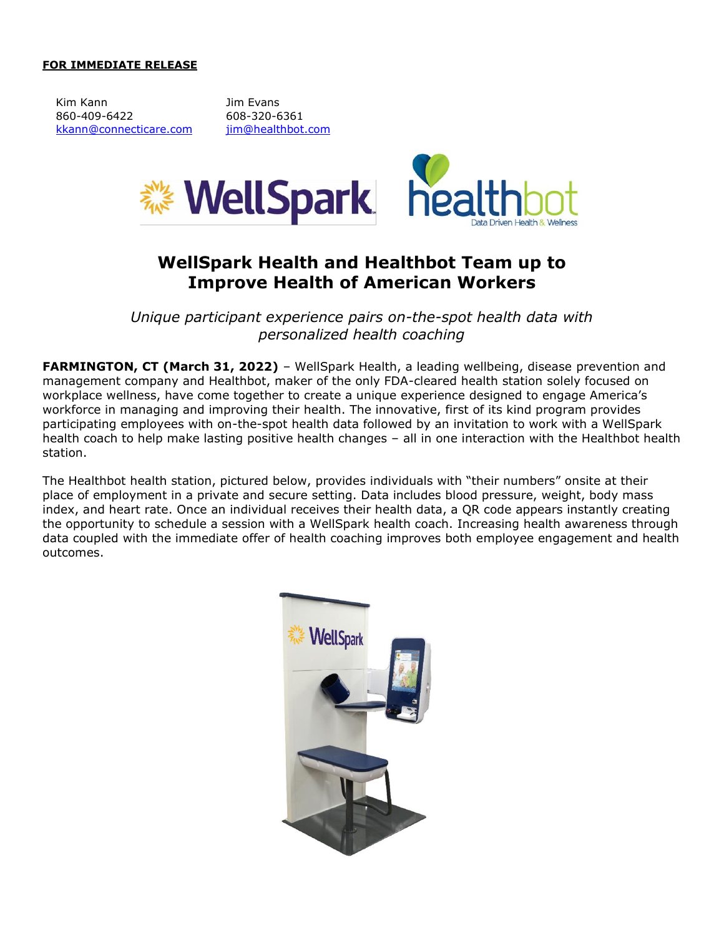## **FOR IMMEDIATE RELEASE**

Kim Kann **Im Evans** 860-409-6422 608-320-6361 [kkann@connecticare.com](mailto:kkann@connecticare.com) [jim@healthbot.com](mailto:jim@healthbot.com)



## **WellSpark Health and Healthbot Team up to Improve Health of American Workers**

*Unique participant experience pairs on-the-spot health data with personalized health coaching*

**FARMINGTON, CT (March 31, 2022)** – WellSpark Health, a leading wellbeing, disease prevention and management company and Healthbot, maker of the only FDA-cleared health station solely focused on workplace wellness, have come together to create a unique experience designed to engage America's workforce in managing and improving their health. The innovative, first of its kind program provides participating employees with on-the-spot health data followed by an invitation to work with a WellSpark health coach to help make lasting positive health changes – all in one interaction with the Healthbot health station.

The Healthbot health station, pictured below, provides individuals with "their numbers" onsite at their place of employment in a private and secure setting. Data includes blood pressure, weight, body mass index, and heart rate. Once an individual receives their health data, a QR code appears instantly creating the opportunity to schedule a session with a WellSpark health coach. Increasing health awareness through data coupled with the immediate offer of health coaching improves both employee engagement and health outcomes.